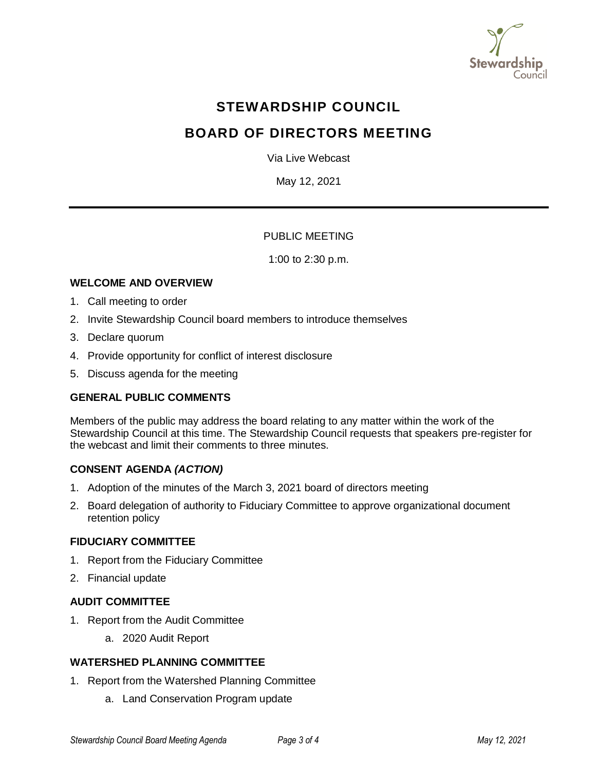

# **STEWARDSHIP COUNCIL**

# **BOARD OF DIRECTORS MEETING**

Via Live Webcast

May 12, 2021

# PUBLIC MEETING

1:00 to 2:30 p.m.

# **WELCOME AND OVERVIEW**

- 1. Call meeting to order
- 2. Invite Stewardship Council board members to introduce themselves
- 3. Declare quorum
- 4. Provide opportunity for conflict of interest disclosure
- 5. Discuss agenda for the meeting

# **GENERAL PUBLIC COMMENTS**

Members of the public may address the board relating to any matter within the work of the Stewardship Council at this time. The Stewardship Council requests that speakers pre-register for the webcast and limit their comments to three minutes.

# **CONSENT AGENDA** *(ACTION)*

- 1. Adoption of the minutes of the March 3, 2021 board of directors meeting
- 2. Board delegation of authority to Fiduciary Committee to approve organizational document retention policy

## **FIDUCIARY COMMITTEE**

- 1. Report from the Fiduciary Committee
- 2. Financial update

#### **AUDIT COMMITTEE**

- 1. Report from the Audit Committee
	- a. 2020 Audit Report

# **WATERSHED PLANNING COMMITTEE**

- 1. Report from the Watershed Planning Committee
	- a. Land Conservation Program update